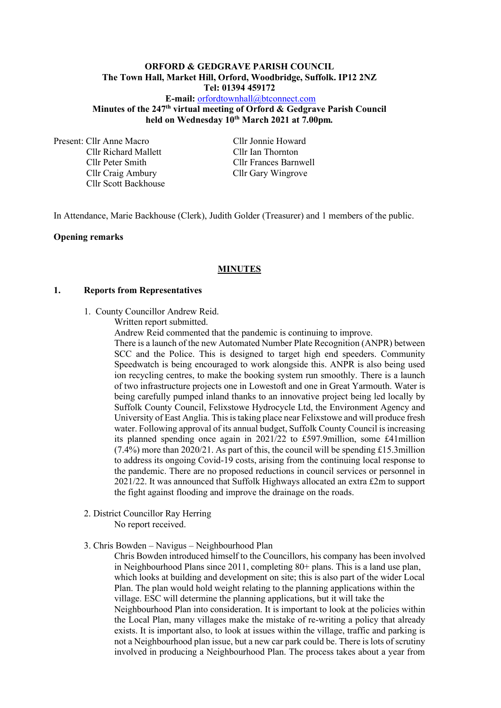## **ORFORD & GEDGRAVE PARISH COUNCIL The Town Hall, Market Hill, Orford, Woodbridge, Suffolk. IP12 2NZ Tel: 01394 459172**

**E-mail:** [orfordtownhall@btconnect.com](mailto:orfordtownhall@btconnect.com) **Minutes of the 247 th virtual meeting of Orford & Gedgrave Parish Council held on Wednesday 10 th March 2021 at 7.00pm***.*

Present: Cllr Anne Macro Cllr Jonnie Howard Cllr Richard Mallett Cllr Ian Thornton Cllr Craig Ambury Cllr Gary Wingrove Cllr Scott Backhouse

Cllr Peter Smith Cllr Frances Barnwell

In Attendance, Marie Backhouse (Clerk), Judith Golder (Treasurer) and 1 members of the public.

### **Opening remarks**

#### **MINUTES**

#### **1. Reports from Representatives**

- 1. County Councillor Andrew Reid.
	- Written report submitted.

Andrew Reid commented that the pandemic is continuing to improve.

There is a launch of the new Automated Number Plate Recognition (ANPR) between SCC and the Police. This is designed to target high end speeders. Community Speedwatch is being encouraged to work alongside this. ANPR is also being used ion recycling centres, to make the booking system run smoothly. There is a launch of two infrastructure projects one in Lowestoft and one in Great Yarmouth. Water is being carefully pumped inland thanks to an innovative project being led locally by Suffolk County Council, Felixstowe Hydrocycle Ltd, the Environment Agency and University of East Anglia. This is taking place near Felixstowe and will produce fresh water. Following approval of its annual budget, Suffolk County Council is increasing its planned spending once again in 2021/22 to £597.9million, some £41million (7.4%) more than 2020/21. As part of this, the council will be spending £15.3million to address its ongoing Covid-19 costs, arising from the continuing local response to the pandemic. There are no proposed reductions in council services or personnel in 2021/22. It was announced that Suffolk Highways allocated an extra £2m to support the fight against flooding and improve the drainage on the roads.

2. District Councillor Ray Herring

No report received.

#### 3. Chris Bowden – Navigus – Neighbourhood Plan

Chris Bowden introduced himself to the Councillors, his company has been involved in Neighbourhood Plans since 2011, completing 80+ plans. This is a land use plan, which looks at building and development on site; this is also part of the wider Local Plan. The plan would hold weight relating to the planning applications within the village. ESC will determine the planning applications, but it will take the Neighbourhood Plan into consideration. It is important to look at the policies within the Local Plan, many villages make the mistake of re-writing a policy that already exists. It is important also, to look at issues within the village, traffic and parking is not a Neighbourhood plan issue, but a new car park could be. There is lots of scrutiny involved in producing a Neighbourhood Plan. The process takes about a year from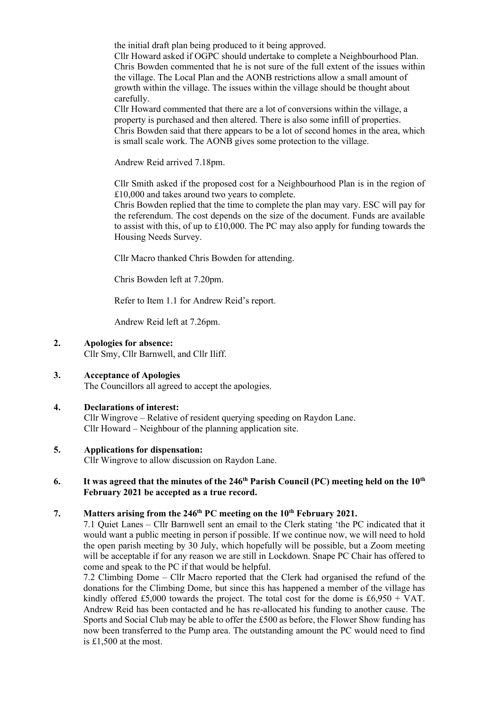the initial draft plan being produced to it being approved.

Cllr Howard asked if OGPC should undertake to complete a Neighbourhood Plan. Chris Bowden commented that he is not sure of the full extent of the issues within the village. The Local Plan and the AONB restrictions allow a small amount of growth within the village. The issues within the village should be thought about carefully.

Cllr Howard commented that there are a lot of conversions within the village, a property is purchased and then altered. There is also some infill of properties. Chris Bowden said that there appears to be a lot of second homes in the area, which is small scale work. The AONB gives some protection to the village.

Andrew Reid arrived 7.18pm.

Cllr Smith asked if the proposed cost for a Neighbourhood Plan is in the region of £10,000 and takes around two years to complete.

Chris Bowden replied that the time to complete the plan may vary. ESC will pay for the referendum. The cost depends on the size of the document. Funds are available to assist with this, of up to  $\text{\pounds}10,000$ . The PC may also apply for funding towards the Housing Needs Survey.

Cllr Macro thanked Chris Bowden for attending.

Chris Bowden left at 7.20pm.

Refer to Item 1.1 for Andrew Reid's report.

Andrew Reid left at 7.26pm.

## **2. Apologies for absence:**

Cllr Smy, Cllr Barnwell, and Cllr Iliff.

# **3. Acceptance of Apologies**

The Councillors all agreed to accept the apologies.

# **4. Declarations of interest:**

Cllr Wingrove – Relative of resident querying speeding on Raydon Lane. Cllr Howard – Neighbour of the planning application site.

### **5. Applications for dispensation:**

Cllr Wingrove to allow discussion on Raydon Lane.

## **6. It was agreed that the minutes of the 246 th Parish Council (PC) meeting held on the 10th February 2021 be accepted as a true record.**

## **7. Matters arising from the 246 th PC meeting on the 10th February 2021.**

7.1 Quiet Lanes – Cllr Barnwell sent an email to the Clerk stating 'the PC indicated that it would want a public meeting in person if possible. If we continue now, we will need to hold the open parish meeting by 30 July, which hopefully will be possible, but a Zoom meeting will be acceptable if for any reason we are still in Lockdown. Snape PC Chair has offered to come and speak to the PC if that would be helpful.

7.2 Climbing Dome – Cllr Macro reported that the Clerk had organised the refund of the donations for the Climbing Dome, but since this has happened a member of the village has kindly offered £5,000 towards the project. The total cost for the dome is £6,950 + VAT. Andrew Reid has been contacted and he has re-allocated his funding to another cause. The Sports and Social Club may be able to offer the £500 as before, the Flower Show funding has now been transferred to the Pump area. The outstanding amount the PC would need to find is £1,500 at the most.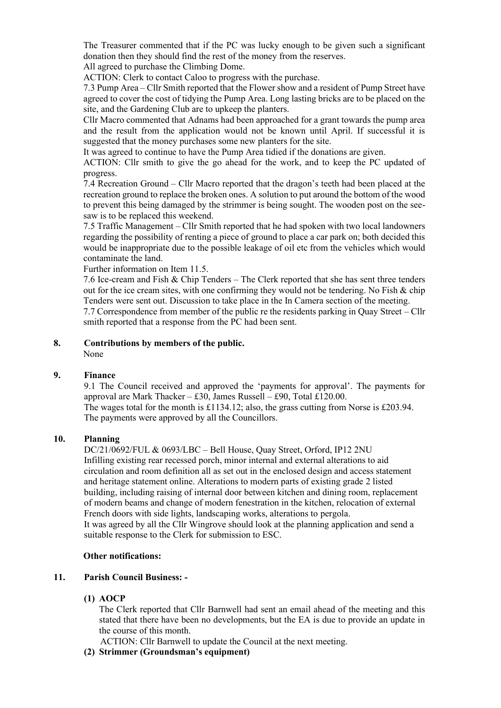The Treasurer commented that if the PC was lucky enough to be given such a significant donation then they should find the rest of the money from the reserves.

All agreed to purchase the Climbing Dome.

ACTION: Clerk to contact Caloo to progress with the purchase.

7.3 Pump Area – Cllr Smith reported that the Flower show and a resident of Pump Street have agreed to cover the cost of tidying the Pump Area. Long lasting bricks are to be placed on the site, and the Gardening Club are to upkeep the planters.

Cllr Macro commented that Adnams had been approached for a grant towards the pump area and the result from the application would not be known until April. If successful it is suggested that the money purchases some new planters for the site.

It was agreed to continue to have the Pump Area tidied if the donations are given.

ACTION: Cllr smith to give the go ahead for the work, and to keep the PC updated of progress.

7.4 Recreation Ground – Cllr Macro reported that the dragon's teeth had been placed at the recreation ground to replace the broken ones. A solution to put around the bottom of the wood to prevent this being damaged by the strimmer is being sought. The wooden post on the seesaw is to be replaced this weekend.

7.5 Traffic Management – Cllr Smith reported that he had spoken with two local landowners regarding the possibility of renting a piece of ground to place a car park on; both decided this would be inappropriate due to the possible leakage of oil etc from the vehicles which would contaminate the land.

Further information on Item 11.5.

7.6 Ice-cream and Fish & Chip Tenders – The Clerk reported that she has sent three tenders out for the ice cream sites, with one confirming they would not be tendering. No Fish & chip Tenders were sent out. Discussion to take place in the In Camera section of the meeting. 7.7 Correspondence from member of the public re the residents parking in Quay Street – Cllr smith reported that a response from the PC had been sent.

#### **8. Contributions by members of the public.** None

### **9. Finance**

9.1 The Council received and approved the 'payments for approval'. The payments for approval are Mark Thacker – £30, James Russell – £90, Total £120.00. The wages total for the month is £1134.12; also, the grass cutting from Norse is £203.94. The payments were approved by all the Councillors.

### **10. Planning**

DC/21/0692/FUL & 0693/LBC – Bell House, Quay Street, Orford, IP12 2NU Infilling existing rear recessed porch, minor internal and external alterations to aid circulation and room definition all as set out in the enclosed design and access statement and heritage statement online. Alterations to modern parts of existing grade 2 listed building, including raising of internal door between kitchen and dining room, replacement of modern beams and change of modern fenestration in the kitchen, relocation of external French doors with side lights, landscaping works, alterations to pergola. It was agreed by all the Cllr Wingrove should look at the planning application and send a suitable response to the Clerk for submission to ESC.

### **Other notifications:**

# **11. Parish Council Business: -**

**(1) AOCP**

The Clerk reported that Cllr Barnwell had sent an email ahead of the meeting and this stated that there have been no developments, but the EA is due to provide an update in the course of this month.

ACTION: Cllr Barnwell to update the Council at the next meeting.

**(2) Strimmer (Groundsman's equipment)**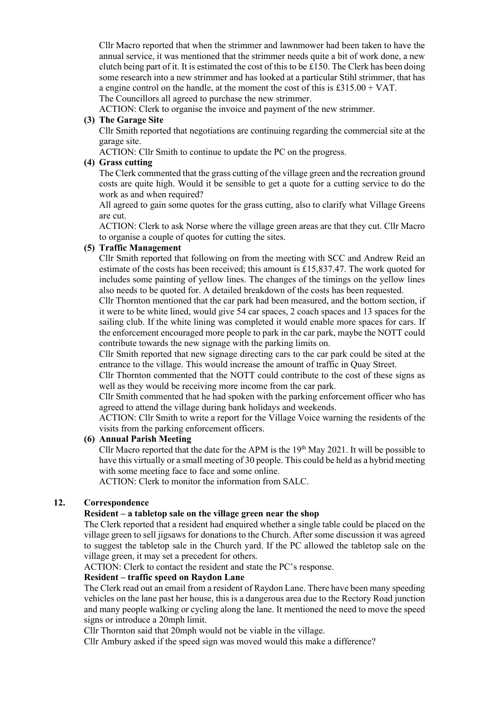Cllr Macro reported that when the strimmer and lawnmower had been taken to have the annual service, it was mentioned that the strimmer needs quite a bit of work done, a new clutch being part of it. It is estimated the cost of this to be £150. The Clerk has been doing some research into a new strimmer and has looked at a particular Stihl strimmer, that has a engine control on the handle, at the moment the cost of this is £315.00 + VAT. The Councillors all agreed to purchase the new strimmer.

ACTION: Clerk to organise the invoice and payment of the new strimmer.

## **(3) The Garage Site**

Cllr Smith reported that negotiations are continuing regarding the commercial site at the garage site.

ACTION: Cllr Smith to continue to update the PC on the progress.

### **(4) Grass cutting**

The Clerk commented that the grass cutting of the village green and the recreation ground costs are quite high. Would it be sensible to get a quote for a cutting service to do the work as and when required?

All agreed to gain some quotes for the grass cutting, also to clarify what Village Greens are cut.

ACTION: Clerk to ask Norse where the village green areas are that they cut. Cllr Macro to organise a couple of quotes for cutting the sites.

### **(5) Traffic Management**

Cllr Smith reported that following on from the meeting with SCC and Andrew Reid an estimate of the costs has been received; this amount is £15,837.47. The work quoted for includes some painting of yellow lines. The changes of the timings on the yellow lines also needs to be quoted for. A detailed breakdown of the costs has been requested.

Cllr Thornton mentioned that the car park had been measured, and the bottom section, if it were to be white lined, would give 54 car spaces, 2 coach spaces and 13 spaces for the sailing club. If the white lining was completed it would enable more spaces for cars. If the enforcement encouraged more people to park in the car park, maybe the NOTT could contribute towards the new signage with the parking limits on.

Cllr Smith reported that new signage directing cars to the car park could be sited at the entrance to the village. This would increase the amount of traffic in Quay Street.

Cllr Thornton commented that the NOTT could contribute to the cost of these signs as well as they would be receiving more income from the car park.

Cllr Smith commented that he had spoken with the parking enforcement officer who has agreed to attend the village during bank holidays and weekends.

ACTION: Cllr Smith to write a report for the Village Voice warning the residents of the visits from the parking enforcement officers.

### **(6) Annual Parish Meeting**

Cllr Macro reported that the date for the APM is the  $19<sup>th</sup>$  May 2021. It will be possible to have this virtually or a small meeting of 30 people. This could be held as a hybrid meeting with some meeting face to face and some online.

ACTION: Clerk to monitor the information from SALC.

# **12. Correspondence**

### **Resident – a tabletop sale on the village green near the shop**

The Clerk reported that a resident had enquired whether a single table could be placed on the village green to sell jigsaws for donations to the Church. After some discussion it was agreed to suggest the tabletop sale in the Church yard. If the PC allowed the tabletop sale on the village green, it may set a precedent for others.

ACTION: Clerk to contact the resident and state the PC's response.

## **Resident – traffic speed on Raydon Lane**

The Clerk read out an email from a resident of Raydon Lane. There have been many speeding vehicles on the lane past her house, this is a dangerous area due to the Rectory Road junction and many people walking or cycling along the lane. It mentioned the need to move the speed signs or introduce a 20mph limit.

Cllr Thornton said that 20mph would not be viable in the village.

Cllr Ambury asked if the speed sign was moved would this make a difference?